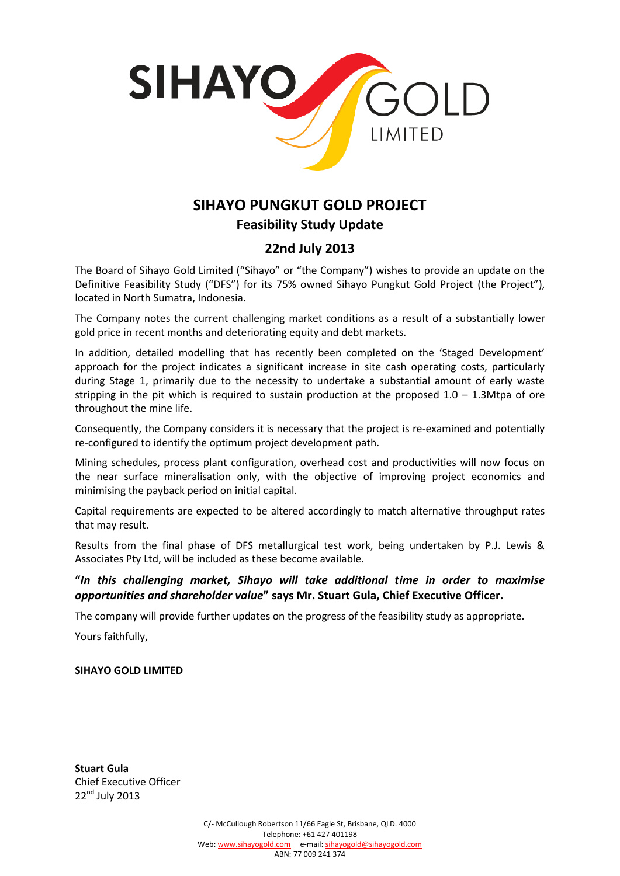

## **SIHAYO PUNGKUT GOLD PROJECT Feasibility Study Update**

## **22nd July 2013**

The Board of Sihayo Gold Limited ("Sihayo" or "the Company") wishes to provide an update on the Definitive Feasibility Study ("DFS") for its 75% owned Sihayo Pungkut Gold Project (the Project"), located in North Sumatra, Indonesia.

The Company notes the current challenging market conditions as a result of a substantially lower gold price in recent months and deteriorating equity and debt markets.

In addition, detailed modelling that has recently been completed on the 'Staged Development' approach for the project indicates a significant increase in site cash operating costs, particularly during Stage 1, primarily due to the necessity to undertake a substantial amount of early waste stripping in the pit which is required to sustain production at the proposed  $1.0 - 1.3$ Mtpa of ore throughout the mine life.

Consequently, the Company considers it is necessary that the project is re-examined and potentially re-configured to identify the optimum project development path.

Mining schedules, process plant configuration, overhead cost and productivities will now focus on the near surface mineralisation only, with the objective of improving project economics and minimising the payback period on initial capital.

Capital requirements are expected to be altered accordingly to match alternative throughput rates that may result.

Results from the final phase of DFS metallurgical test work, being undertaken by P.J. Lewis & Associates Pty Ltd, will be included as these become available.

**"***In this challenging market, Sihayo will take additional time in order to maximise opportunities and shareholder value***" says Mr. Stuart Gula, Chief Executive Officer.**

The company will provide further updates on the progress of the feasibility study as appropriate.

Yours faithfully,

## **SIHAYO GOLD LIMITED**

**Stuart Gula** Chief Executive Officer 22<sup>nd</sup> July 2013